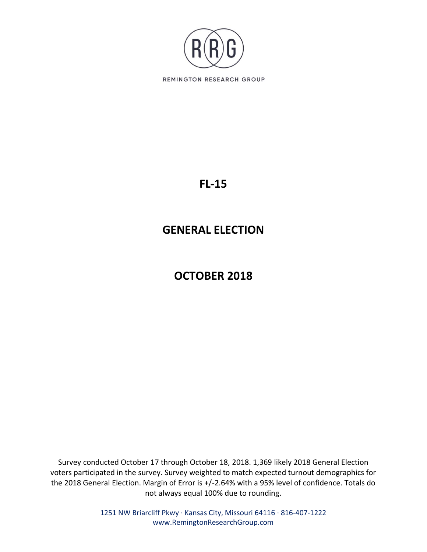

## **FL-15**

# **GENERAL ELECTION**

# **OCTOBER 2018**

Survey conducted October 17 through October 18, 2018. 1,369 likely 2018 General Election voters participated in the survey. Survey weighted to match expected turnout demographics for the 2018 General Election. Margin of Error is +/-2.64% with a 95% level of confidence. Totals do not always equal 100% due to rounding.

> 1251 NW Briarcliff Pkwy ∙ Kansas City, Missouri 64116 ∙ 816-407-1222 www.RemingtonResearchGroup.com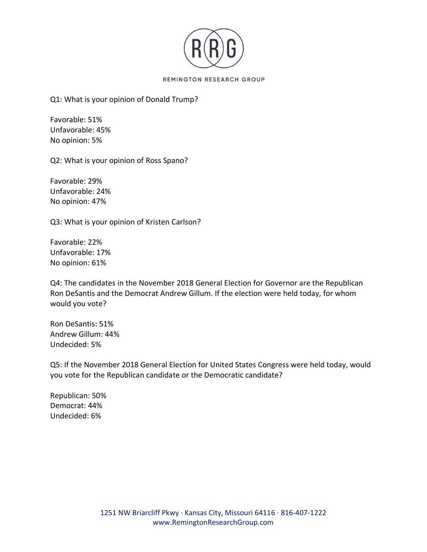

## Q1: What is your opinion of Donald Trump?

Favorable: 51% Unfavorable: 45% No opinion: 5%

Q2: What is your opinion of Ross Spano?

Favorable: 29% Unfavorable: 24% No opinion: 47%

Q3: What is your opinion of Kristen Carlson?

Favorable: 22% Unfavorable: 17% No opinion: 61%

Q4: The candidates in the November 2018 General Election for Governor are the Republican Ron DeSantis and the Democrat Andrew Gillum. If the election were held today, for whom would you vote?

Ron DeSantis: 51% Andrew Gillum: 44% Undecided: 5%

Q5: If the November 2018 General Election for United States Congress were held today, would you vote for the Republican candidate or the Democratic candidate?

Republican: 50% Democrat: 44% Undecided: 6%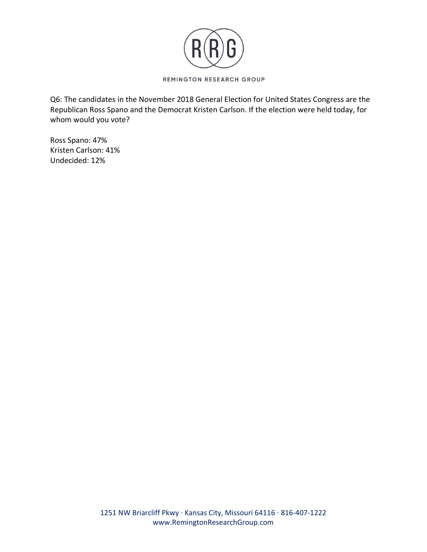

Q6: The candidates in the November 2018 General Election for United States Congress are the Republican Ross Spano and the Democrat Kristen Carlson. If the election were held today, for whom would you vote?

Ross Spano: 47% Kristen Carlson: 41% Undecided: 12%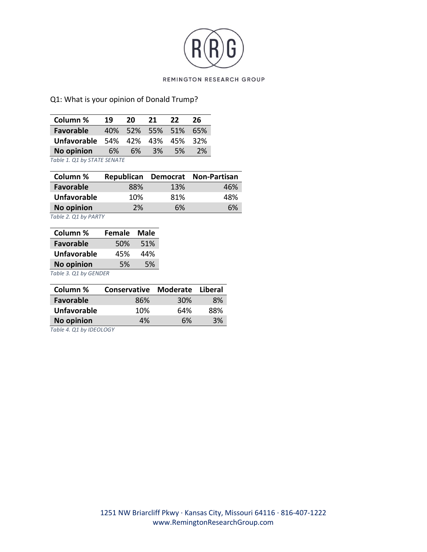

## Q1: What is your opinion of Donald Trump?

| Column %                        | 19 | 20 | 21    | 22                  | 26        |
|---------------------------------|----|----|-------|---------------------|-----------|
| <b>Favorable</b>                |    |    |       | 40% 52% 55% 51% 65% |           |
| Unfavorable 54% 42% 43% 45% 32% |    |    |       |                     |           |
| No opinion 6%                   |    |    | 6% 3% | - 5%                | <b>2%</b> |
| Table 1. Q1 by STATE SENATE     |    |    |       |                     |           |

| Column %           |     |     | Republican Democrat Non-Partisan |
|--------------------|-----|-----|----------------------------------|
| <b>Favorable</b>   | 88% | 13% | 46%                              |
| <b>Unfavorable</b> | 10% | 81% | 48%                              |
| <b>No opinion</b>  | 2%  | 6%  | 6%                               |

*Table 2. Q1 by PARTY*

| Column %              | <b>Female</b> | <b>Male</b> |
|-----------------------|---------------|-------------|
| <b>Favorable</b>      | 50%           | 51%         |
| <b>Unfavorable</b>    | 45%           | 44%         |
| <b>No opinion</b>     | .5%           | 5%          |
| Table 3. Q1 by GENDER |               |             |

| Column %           | <b>Conservative</b> | Moderate Liberal |     |
|--------------------|---------------------|------------------|-----|
| <b>Favorable</b>   | 86%                 | 30%              | 8%  |
| <b>Unfavorable</b> | 10%                 | 64%              | 88% |
| <b>No opinion</b>  | 4%                  | 6%               | 3%  |

*Table 4. Q1 by IDEOLOGY*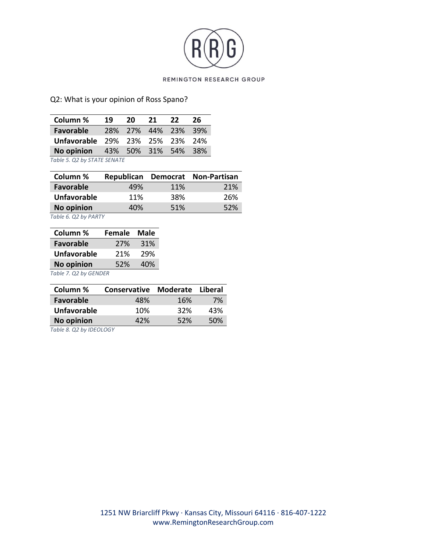

## Q2: What is your opinion of Ross Spano?

| Column %                               | 19 | -20 | 21 | 22                  | -26 |
|----------------------------------------|----|-----|----|---------------------|-----|
| <b>Favorable</b>                       |    |     |    | 28% 27% 44% 23% 39% |     |
| <b>Unfavorable 29% 23% 25% 23% 24%</b> |    |     |    |                     |     |
| No opinion 43% 50% 31% 54% 38%         |    |     |    |                     |     |
| Table 5. Q2 by STATE SENATE            |    |     |    |                     |     |

| Column %           |     |            | Republican Democrat Non-Partisan |
|--------------------|-----|------------|----------------------------------|
| Favorable          | 49% | <b>11%</b> | 21%                              |
| <b>Unfavorable</b> | 11% | 38%        | 26%                              |
| <b>No opinion</b>  | 40% | 51%        | 52%                              |

*Table 6. Q2 by PARTY*

| Column %                                                                                                                                                             | <b>Female</b> | Male |
|----------------------------------------------------------------------------------------------------------------------------------------------------------------------|---------------|------|
| <b>Favorable</b>                                                                                                                                                     | 27%           | 31%  |
| <b>Unfavorable</b>                                                                                                                                                   | 21%           | 29%  |
| <b>No opinion</b>                                                                                                                                                    | 52%           | 40%  |
| $Tz$ $\sim$ $Tz$ $\sim$ $Tz$ $\sim$ $Tz$ $\sim$ $Tz$ $\sim$ $Tz$ $\sim$ $Tz$ $\sim$ $Tz$ $\sim$ $Tz$ $\sim$ $Tz$ $\sim$ $Tz$ $\sim$ $Tz$ $\sim$ $Tz$ $\sim$ $Tz$ $\$ |               |      |

*Table 7. Q2 by GENDER*

| Column %           | <b>Conservative</b> | Moderate   | Liberal |
|--------------------|---------------------|------------|---------|
| <b>Favorable</b>   | 48%                 | 16%        | 7%      |
| <b>Unfavorable</b> | 10%                 | <b>32%</b> | 43%     |
| <b>No opinion</b>  | 42%                 | 52%        | 50%     |
|                    |                     |            |         |

*Table 8. Q2 by IDEOLOGY*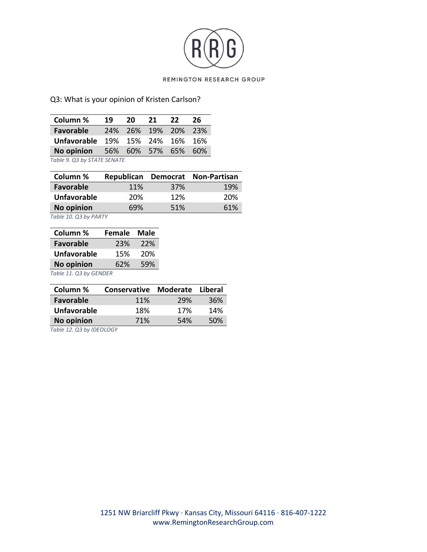

## Q3: What is your opinion of Kristen Carlson?

| Column %                        | 19 | 20 21 |  | 22                  | - 26 |
|---------------------------------|----|-------|--|---------------------|------|
| <b>Favorable</b>                |    |       |  | 24% 26% 19% 20% 23% |      |
| Unfavorable 19% 15% 24% 16% 16% |    |       |  |                     |      |
| No opinion 56% 60% 57% 65% 60%  |    |       |  |                     |      |
| Table 9. Q3 by STATE SENATE     |    |       |  |                     |      |

| Column %           |            |     | Republican Democrat Non-Partisan |
|--------------------|------------|-----|----------------------------------|
| <b>Favorable</b>   | <b>11%</b> | 37% | 19%                              |
| <b>Unfavorable</b> | 20%        | 12% | 20%                              |
| <b>No opinion</b>  | 69%        | 51% | 61%                              |

*Table 10. Q3 by PARTY*

| Column %                                                                                                                                                                                                                    | <b>Female</b> | Male |
|-----------------------------------------------------------------------------------------------------------------------------------------------------------------------------------------------------------------------------|---------------|------|
| <b>Favorable</b>                                                                                                                                                                                                            | 23%           | 22%  |
| <b>Unfavorable</b>                                                                                                                                                                                                          | 15%           | 20%  |
| <b>No opinion</b>                                                                                                                                                                                                           | 62%           | 59%  |
| $T$ $(1)$ $(2)$ $(2)$ $(3)$ $(2)$ $(3)$ $(4)$ $(5)$ $(5)$ $(6)$ $(7)$ $(8)$ $(8)$ $(9)$ $(1)$ $(1)$ $(1)$ $(1)$ $(1)$ $(1)$ $(1)$ $(1)$ $(1)$ $(1)$ $(1)$ $(1)$ $(1)$ $(1)$ $(1)$ $(1)$ $(1)$ $(1)$ $(1)$ $(1)$ $(1)$ $(1)$ |               |      |

*Table 11. Q3 by GENDER*

| Column %           | <b>Conservative</b> | <b>Moderate</b> | Liberal |
|--------------------|---------------------|-----------------|---------|
| Favorable          | <b>11%</b>          | 29%             | 36%     |
| <b>Unfavorable</b> | 18%                 | 17%             | 14%     |
| <b>No opinion</b>  | 71%                 | 54%             | 50%     |
|                    |                     |                 |         |

*Table 12. Q3 by IDEOLOGY*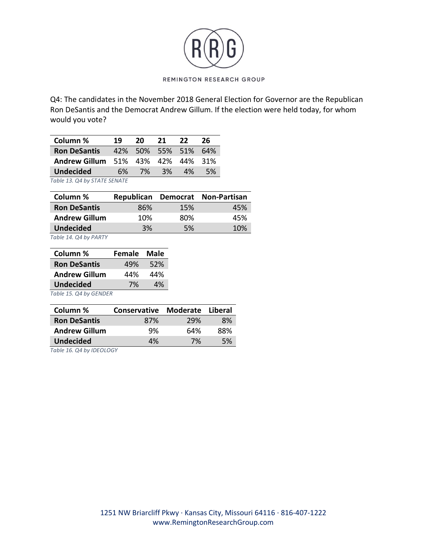

Q4: The candidates in the November 2018 General Election for Governor are the Republican Ron DeSantis and the Democrat Andrew Gillum. If the election were held today, for whom would you vote?

| Column %                          | 19 | 20 | 21 | 22                  | -26 |
|-----------------------------------|----|----|----|---------------------|-----|
| <b>Ron DeSantis</b>               |    |    |    | 42% 50% 55% 51% 64% |     |
| Andrew Gillum 51% 43% 42% 44% 31% |    |    |    |                     |     |
| <b>Undecided</b>                  | 6% | 7% | 3% | 4% a                | 5%  |
| Table 13. Q4 by STATE SENATE      |    |    |    |                     |     |

| Column %             |     |     | Republican Democrat Non-Partisan |
|----------------------|-----|-----|----------------------------------|
| <b>Ron DeSantis</b>  | 86% | 15% | 45%                              |
| <b>Andrew Gillum</b> | 10% | 80% | 45%                              |
| <b>Undecided</b>     | 3%  | 5%  | 10%                              |

*Table 14. Q4 by PARTY*

| Column %             | Female | Male |
|----------------------|--------|------|
| <b>Ron DeSantis</b>  | 49%    | 52%  |
| <b>Andrew Gillum</b> | 44%    | 44%  |
| <b>Undecided</b>     | 7%     | 4%   |
|                      |        |      |

*Table 15. Q4 by GENDER*

| Column %             | <b>Conservative Moderate</b> |     | Liberal |
|----------------------|------------------------------|-----|---------|
| <b>Ron DeSantis</b>  | 87%                          | 29% | 8%      |
| <b>Andrew Gillum</b> | 9%                           | 64% | 88%     |
| <b>Undecided</b>     | 4%                           | 7%  | .5%     |

*Table 16. Q4 by IDEOLOGY*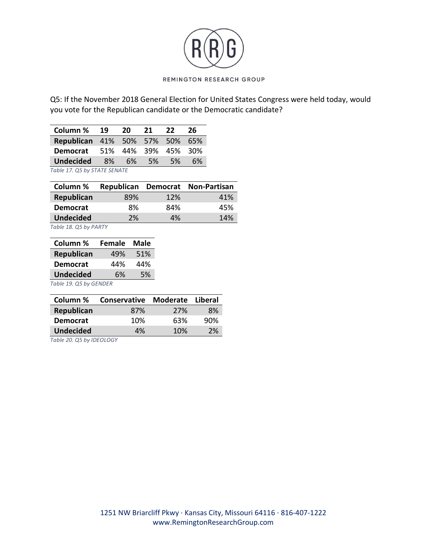

Q5: If the November 2018 General Election for United States Congress were held today, would you vote for the Republican candidate or the Democratic candidate?

| Column % 19                           |  | <b>20</b> | 21 | 22   | -26 |
|---------------------------------------|--|-----------|----|------|-----|
| <b>Republican</b> 41% 50% 57% 50% 65% |  |           |    |      |     |
| <b>Democrat</b> 51% 44% 39% 45% 30%   |  |           |    |      |     |
| <b>Undecided</b> 8% 6% 5%             |  |           |    | - 5% | 6%  |
| Table 17. Q5 by STATE SENATE          |  |           |    |      |     |

| Column %         |     |     | Republican Democrat Non-Partisan |
|------------------|-----|-----|----------------------------------|
| Republican       | 89% | 12% | 41%                              |
| <b>Democrat</b>  | 8%  | 84% | 45%                              |
| <b>Undecided</b> | 2%  | 4%  | 14%                              |
|                  |     |     |                                  |

*Table 18. Q5 by PARTY*

| Column %               | <b>Female</b> | <b>Male</b> |  |  |
|------------------------|---------------|-------------|--|--|
| <b>Republican</b>      | 49%           | 51%         |  |  |
| <b>Democrat</b>        | 44%           | 44%         |  |  |
| <b>Undecided</b>       | 6%            | 5%          |  |  |
| Table 19. Q5 by GENDER |               |             |  |  |

| Column %         | Conservative Moderate Liberal |     |     |
|------------------|-------------------------------|-----|-----|
| Republican       | 87%                           | 27% | 8%  |
| <b>Democrat</b>  | 10%                           | 63% | 90% |
| <b>Undecided</b> | 4%                            | 10% | 2%  |

*Table 20. Q5 by IDEOLOGY*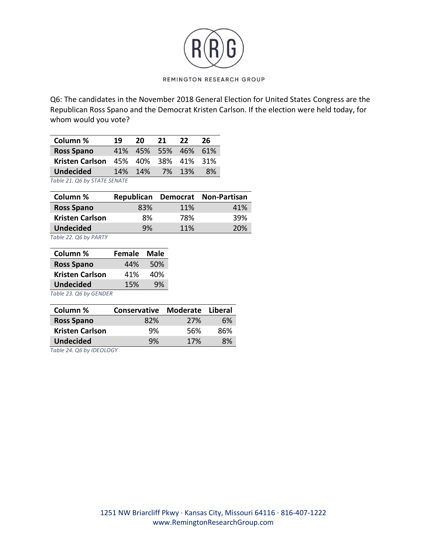

Q6: The candidates in the November 2018 General Election for United States Congress are the Republican Ross Spano and the Democrat Kristen Carlson. If the election were held today, for whom would you vote?

| Column %                            | 19 | 20      | 21 | 22.                 | 26 |
|-------------------------------------|----|---------|----|---------------------|----|
| <b>Ross Spano</b>                   |    |         |    | 41% 45% 55% 46% 61% |    |
| Kristen Carlson 45% 40% 38% 41% 31% |    |         |    |                     |    |
| <b>Undecided</b>                    |    | 14% 14% |    | 7% 13%              | 8% |
| $T - L = 24$ $26 - L = 274 T$       |    |         |    |                     |    |

*Table 21. Q6 by STATE SENATE*

| Column %               |     |     | Republican Democrat Non-Partisan |
|------------------------|-----|-----|----------------------------------|
| <b>Ross Spano</b>      | 83% | 11% | 41%                              |
| <b>Kristen Carlson</b> | 8%  | 78% | 39%                              |
| <b>Undecided</b>       | 9%  | 11% | 20%                              |

*Table 22. Q6 by PARTY*

| Column %               | Female | <b>Male</b> |
|------------------------|--------|-------------|
| <b>Ross Spano</b>      | 44%    | 50%         |
| <b>Kristen Carlson</b> | 41%    | 40%         |
| <b>Undecided</b>       | 15%    | 9%          |
|                        |        |             |

*Table 23. Q6 by GENDER*

| Column %               | Conservative Moderate |     | Liberal |
|------------------------|-----------------------|-----|---------|
| <b>Ross Spano</b>      | 82%                   | 27% | 6%      |
| <b>Kristen Carlson</b> | 9%                    | 56% | 86%     |
| <b>Undecided</b>       | 9%                    | 17% | 8%      |

*Table 24. Q6 by IDEOLOGY*